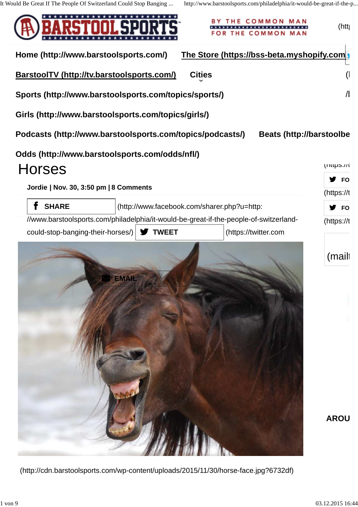

(http://cdn.barstoolsports.com/wp-content/uploads/2015/11/30/horse-face.jpg?6732df)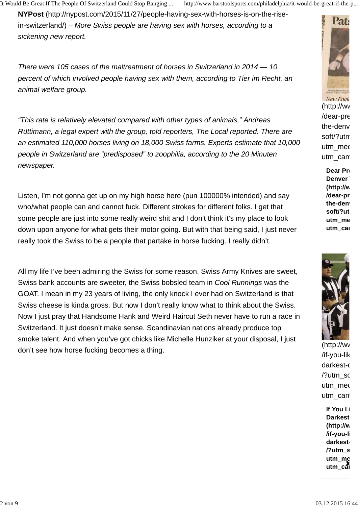It Would Be Great If The People Of Switzerland Could Stop Banging ... http://www.barstoolsports.com/philadelphia/it-would-be-great-if-the-p...

**NYPost** (http://nypost.com/2015/11/27/people-having-sex-with-horses-is-on-the-risein-switzerland/) – More Swiss people are having sex with horses, according to a sickening new report.

There were 105 cases of the maltreatment of horses in Switzerland in 2014 — 10 percent of which involved people having sex with them, according to Tier im Recht, an animal welfare group.

"This rate is relatively elevated compared with other types of animals," Andreas Rüttimann, a legal expert with the group, told reporters, The Local reported. There are an estimated 110,000 horses living on 18,000 Swiss farms. Experts estimate that 10,000 people in Switzerland are "predisposed" to zoophilia, according to the 20 Minuten newspaper.

Listen, I'm not gonna get up on my high horse here (pun 100000% intended) and say who/what people can and cannot fuck. Different strokes for different folks. I get that some people are just into some really weird shit and I don't think it's my place to look down upon anyone for what gets their motor going. But with that being said, I just never really took the Swiss to be a people that partake in horse fucking. I really didn't.

All my life I've been admiring the Swiss for some reason. Swiss Army Knives are sweet, Swiss bank accounts are sweeter, the Swiss bobsled team in Cool Runnings was the GOAT. I mean in my 23 years of living, the only knock I ever had on Switzerland is that Swiss cheese is kinda gross. But now I don't really know what to think about the Swiss. Now I just pray that Handsome Hank and Weird Haircut Seth never have to run a race in Switzerland. It just doesn't make sense. Scandinavian nations already produce top smoke talent. And when you've got chicks like Michelle Hunziker at your disposal, I just don't see how horse fucking becomes a thing.



New Engle  $(<http://www>)$ /dear-pr $\epsilon$ the-denv soft/?utm utm\_med utm\_can

> **Dear Press Denver (http://w** /dear-pr the-den<sup>-</sup> soft/?ut utm\_me **utm** cal



 $(http://ww)$  $/$ if-you-lik darkest-c /?utm\_so utm\_med utm\_can

**If You Li Darkest (http://w /if-you-like-football-last-night** darkest-**/?utm\_s** utm\_me utm\_cai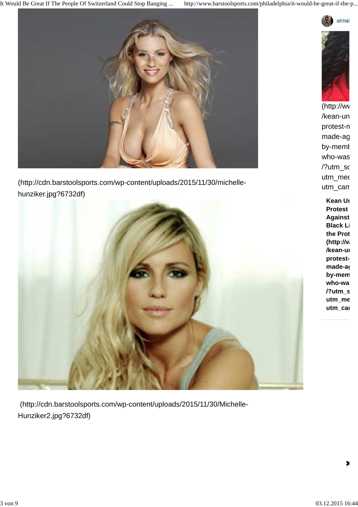It Would Be Great If The People Of Switzerland Could Stop Banging ... http://www.barstoolsports.com/philadelphia/it-would-be-great-if-the-p...



(http://cdn.barstoolsports.com/wp-content/uploads/2015/11/30/michellehunziker.jpg?6732df)



 (http://cdn.barstoolsports.com/wp-content/uploads/2015/11/30/Michelle-Hunziker2.jpg?6732df)



 $(http://wv)$ /kean-un protest-n made-ag by-memt who-was /?utm\_so utm\_med utm\_can

> **Kean Uni Protest Against Black Li** the Prot **(http://w** /kean-ui protestmade-as by-mem who-wa **/?utm\_s** utm\_me utm\_cai

×